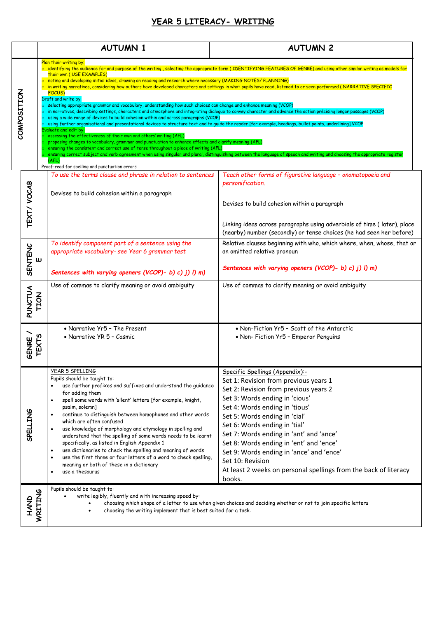## **YEAR 5 LITERACY- WRITING**

|                                                                                                                                                                                                                                                                                                      |                              | <b>AUTUMN 1</b>                                                                                                                                                                                                                                                                                                                                                                                                                                                                                                                                                                                                                                                                                                                                                                                                                                                                                                                                                                                                                                                                                                                  | <b>AUTUMN 2</b>                                                                                                                                                                                                                                                                                                                                                                                                                                                                                                                    |
|------------------------------------------------------------------------------------------------------------------------------------------------------------------------------------------------------------------------------------------------------------------------------------------------------|------------------------------|----------------------------------------------------------------------------------------------------------------------------------------------------------------------------------------------------------------------------------------------------------------------------------------------------------------------------------------------------------------------------------------------------------------------------------------------------------------------------------------------------------------------------------------------------------------------------------------------------------------------------------------------------------------------------------------------------------------------------------------------------------------------------------------------------------------------------------------------------------------------------------------------------------------------------------------------------------------------------------------------------------------------------------------------------------------------------------------------------------------------------------|------------------------------------------------------------------------------------------------------------------------------------------------------------------------------------------------------------------------------------------------------------------------------------------------------------------------------------------------------------------------------------------------------------------------------------------------------------------------------------------------------------------------------------|
| COMPOSITION                                                                                                                                                                                                                                                                                          |                              | Plan their writing by:<br>their own (USE EXAMPLES)<br>o noting and developing initial ideas, drawing on reading and research where necessary (MAKING NOTES/PLANNING)<br><b>FOCUS)</b><br>Draft and write by:<br>$\circ$ selecting appropriate grammar and vocabulary, understanding how such choices can change and enhance meaning (VCOP)<br>in narratives, describing settings, characters and atmosphere and integrating dialogue to convey character and advance the action précising longer passages (VCOP)<br>using a wide range of devices to build cohesion within and across paragraphs (VCOP)<br>using further organisational and presentational devices to structure text and to guide the reader [for example, headings, bullet points, underlining] VCOP<br>Evaluate and edit by:<br>assessing the effectiveness of their own and others' writing (AFL)<br>proposing changes to vocabulary, grammar and punctuation to enhance effects and clarify meaning (AFL)<br>ensuring the consistent and correct use of tense throughout a piece of writing (AFL)<br>(AFL)<br>Proof-read for spelling and punctuation errors | $\circ$ identifying the audience for and purpose of the writing , selecting the appropriate form (IDENTIFYING FEATURES OF GENRE) and using other similar writing as models for<br>in writing narratives, considering how authors have developed characters and settings in what pupils have read, listened to or seen performed (NARRATIVE SPECIFIC<br>ensuring correct subject and verb agreement when using singular and plural, distinguishing between the language of speech and writing and choosing the appropriate register |
|                                                                                                                                                                                                                                                                                                      | TEXT/ VOCAB                  | To use the terms clause and phrase in relation to sentences<br>Devises to build cohesion within a paragraph                                                                                                                                                                                                                                                                                                                                                                                                                                                                                                                                                                                                                                                                                                                                                                                                                                                                                                                                                                                                                      | Teach other forms of figurative language - onomatopoeia and<br>personification.<br>Devises to build cohesion within a paragraph<br>Linking ideas across paragraphs using adverbials of time (later), place<br>(nearby) number (secondly) or tense choices (he had seen her before)                                                                                                                                                                                                                                                 |
|                                                                                                                                                                                                                                                                                                      | <b>SENTENC</b><br>Ш          | To identify component part of a sentence using the<br>appropriate vocabulary- see Year 6 grammar test<br>Sentences with varying openers (VCOP)- b) c) j) l) m)                                                                                                                                                                                                                                                                                                                                                                                                                                                                                                                                                                                                                                                                                                                                                                                                                                                                                                                                                                   | Relative clauses beginning with who, which where, when, whose, that or<br>an omitted relative pronoun<br>Sentences with varying openers (VCOP)- b) c) j) l) m)                                                                                                                                                                                                                                                                                                                                                                     |
|                                                                                                                                                                                                                                                                                                      | PUNCTUA<br><b>TION</b>       | Use of commas to clarify meaning or avoid ambiguity                                                                                                                                                                                                                                                                                                                                                                                                                                                                                                                                                                                                                                                                                                                                                                                                                                                                                                                                                                                                                                                                              | Use of commas to clarify meaning or avoid ambiguity                                                                                                                                                                                                                                                                                                                                                                                                                                                                                |
|                                                                                                                                                                                                                                                                                                      | <b>TEXTS</b><br><b>GENRE</b> | • Narrative Yr5 - The Present<br>• Narrative YR 5 - Cosmic                                                                                                                                                                                                                                                                                                                                                                                                                                                                                                                                                                                                                                                                                                                                                                                                                                                                                                                                                                                                                                                                       | • Non-Fiction Yr5 - Scott of the Antarctic<br>• Non- Fiction Yr5 - Emperor Penguins                                                                                                                                                                                                                                                                                                                                                                                                                                                |
|                                                                                                                                                                                                                                                                                                      | SPELLING                     | YEAR 5 SPELLING<br>Pupils should be taught to:<br>use further prefixes and suffixes and understand the guidance<br>for adding them<br>spell some words with 'silent' letters [for example, knight,<br>$\bullet$<br>psalm, solemn]<br>continue to distinguish between homophones and other words<br>$\bullet$<br>which are often confused<br>use knowledge of morphology and etymology in spelling and<br>$\bullet$<br>understand that the spelling of some words needs to be learnt<br>specifically, as listed in English Appendix 1<br>use dictionaries to check the spelling and meaning of words<br>$\bullet$<br>use the first three or four letters of a word to check spelling,<br>$\bullet$<br>meaning or both of these in a dictionary<br>use a thesaurus<br>$\bullet$                                                                                                                                                                                                                                                                                                                                                    | Specific Spellings (Appendix):-<br>Set 1: Revision from previous years 1<br>Set 2: Revision from previous years 2<br>Set 3: Words ending in 'cious'<br>Set 4: Words ending in 'tious'<br>Set 5: Words ending in 'cial'<br>Set 6: Words ending in 'tial'<br>Set 7: Words ending in 'ant' and 'ance'<br>Set 8: Words ending in 'ent' and 'ence'<br>Set 9: Words ending in 'ance' and 'ence'<br>Set 10: Revision<br>At least 2 weeks on personal spellings from the back of literacy<br>books.                                        |
| Pupils should be taught to:<br>WRITING<br>write legibly, fluently and with increasing speed by:<br><b>CINAH</b><br>choosing which shape of a letter to use when given choices and deciding whether or not to join specific letters<br>choosing the writing implement that is best suited for a task. |                              |                                                                                                                                                                                                                                                                                                                                                                                                                                                                                                                                                                                                                                                                                                                                                                                                                                                                                                                                                                                                                                                                                                                                  |                                                                                                                                                                                                                                                                                                                                                                                                                                                                                                                                    |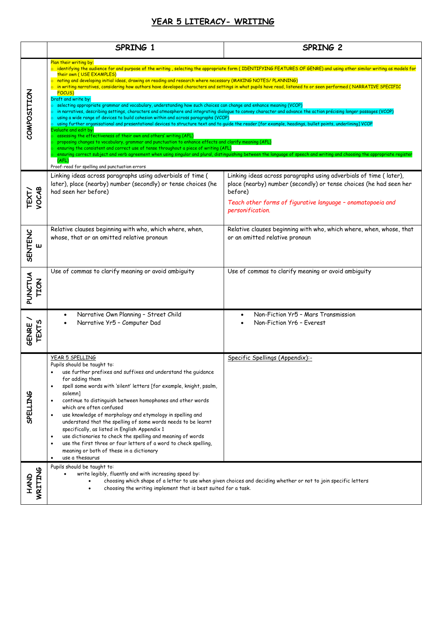## **YEAR 5 LITERACY- WRITING**

|                       | SPRING 1                                                                                                                                                                                                                                                                                                                                                                                                                                                                                                                                                                                                                                                                                                                                                                                                                                                                                                                                                                                                                                                                                                                                                                                                                                                                                                                                                                                                                                                                                                                                                                                                                                                                                    | SPRING 2                                                                                                                                                                                                                              |  |
|-----------------------|---------------------------------------------------------------------------------------------------------------------------------------------------------------------------------------------------------------------------------------------------------------------------------------------------------------------------------------------------------------------------------------------------------------------------------------------------------------------------------------------------------------------------------------------------------------------------------------------------------------------------------------------------------------------------------------------------------------------------------------------------------------------------------------------------------------------------------------------------------------------------------------------------------------------------------------------------------------------------------------------------------------------------------------------------------------------------------------------------------------------------------------------------------------------------------------------------------------------------------------------------------------------------------------------------------------------------------------------------------------------------------------------------------------------------------------------------------------------------------------------------------------------------------------------------------------------------------------------------------------------------------------------------------------------------------------------|---------------------------------------------------------------------------------------------------------------------------------------------------------------------------------------------------------------------------------------|--|
| COMPOSITION           | Plan their writing by:<br>$\circ$ identifying the audience for and purpose of the writing , selecting the appropriate form (IDENTIFYING FEATURES OF GENRE) and using other similar writing as models for<br>their own (USE EXAMPLES)<br>$\circ$ noting and developing initial ideas, drawing on reading and research where necessary (MAKING NOTES/ PLANNING)<br>$\circ$ in writing narratives, considering how authors have developed characters and settings in what pupils have read, listened to or seen performed ( <code>NARRATIVE SPECIFIC</code><br><b>FOCUS)</b><br>Draft and write by:<br>selecting appropriate grammar and vocabulary, understanding how such choices can change and enhance meaning (VCOP)<br>in narratives, describing settings, characters and atmosphere and integrating dialogue to convey character and advance the action précising longer passages (VCOP)<br>using a wide range of devices to build cohesion within and across paragraphs (VCOP)<br>using further organisational and presentational devices to structure text and to quide the reader [for example, headings, bullet points, underlining] VCOP<br>Evaluate and edit by:<br>assessing the effectiveness of their own and others' writing (AFL)<br>proposing changes to vocabulary, grammar and punctuation to enhance effects and clarify meaning (AFL)<br>ensuring the consistent and correct use of tense throughout a piece of writing (AFL)<br>ensuring correct subject and verb agreement when using singular and plural, distinguishing between the language of speech and writing and choosing the appropriate register<br>(AFL)<br>Proof-read for spelling and punctuation errors |                                                                                                                                                                                                                                       |  |
| TEXT/<br>VOCAB        | Linking ideas across paragraphs using adverbials of time (<br>later), place (nearby) number (secondly) or tense choices (he<br>had seen her before)                                                                                                                                                                                                                                                                                                                                                                                                                                                                                                                                                                                                                                                                                                                                                                                                                                                                                                                                                                                                                                                                                                                                                                                                                                                                                                                                                                                                                                                                                                                                         | Linking ideas across paragraphs using adverbials of time (later),<br>place (nearby) number (secondly) or tense choices (he had seen her<br>before)<br>Teach other forms of figurative language - onomatopoeia and<br>personification. |  |
| <b>SENTENC</b><br>ш   | Relative clauses beginning with who, which where, when,<br>whose, that or an omitted relative pronoun                                                                                                                                                                                                                                                                                                                                                                                                                                                                                                                                                                                                                                                                                                                                                                                                                                                                                                                                                                                                                                                                                                                                                                                                                                                                                                                                                                                                                                                                                                                                                                                       | Relative clauses beginning with who, which where, when, whose, that<br>or an omitted relative pronoun                                                                                                                                 |  |
| PUNCTUA<br>TION       | Use of commas to clarify meaning or avoid ambiguity                                                                                                                                                                                                                                                                                                                                                                                                                                                                                                                                                                                                                                                                                                                                                                                                                                                                                                                                                                                                                                                                                                                                                                                                                                                                                                                                                                                                                                                                                                                                                                                                                                         | Use of commas to clarify meaning or avoid ambiguity                                                                                                                                                                                   |  |
| <b>TEXTS</b><br>GENRE | Narrative Own Planning - Street Child<br>Narrative Yr5 - Computer Dad                                                                                                                                                                                                                                                                                                                                                                                                                                                                                                                                                                                                                                                                                                                                                                                                                                                                                                                                                                                                                                                                                                                                                                                                                                                                                                                                                                                                                                                                                                                                                                                                                       | Non-Fiction Yr5 - Mars Transmission<br>Non-Fiction Yr6 - Everest                                                                                                                                                                      |  |
| <b>SPELLING</b>       | YEAR 5 SPELLING<br>Pupils should be taught to:<br>use further prefixes and suffixes and understand the quidance<br>for adding them<br>spell some words with 'silent' letters [for example, knight, psalm,<br>solemn]<br>continue to distinguish between homophones and other words<br>which are often confused<br>use knowledge of morphology and etymology in spelling and<br>understand that the spelling of some words needs to be learnt<br>specifically, as listed in English Appendix 1<br>use dictionaries to check the spelling and meaning of words<br>$\bullet$<br>use the first three or four letters of a word to check spelling,<br>meaning or both of these in a dictionary<br>use a thesaurus                                                                                                                                                                                                                                                                                                                                                                                                                                                                                                                                                                                                                                                                                                                                                                                                                                                                                                                                                                                | Specific Spellings (Appendix):-                                                                                                                                                                                                       |  |
| HAND<br>WRITING       | Pupils should be taught to:<br>write legibly, fluently and with increasing speed by:<br>choosing which shape of a letter to use when given choices and deciding whether or not to join specific letters<br>choosing the writing implement that is best suited for a task.                                                                                                                                                                                                                                                                                                                                                                                                                                                                                                                                                                                                                                                                                                                                                                                                                                                                                                                                                                                                                                                                                                                                                                                                                                                                                                                                                                                                                   |                                                                                                                                                                                                                                       |  |